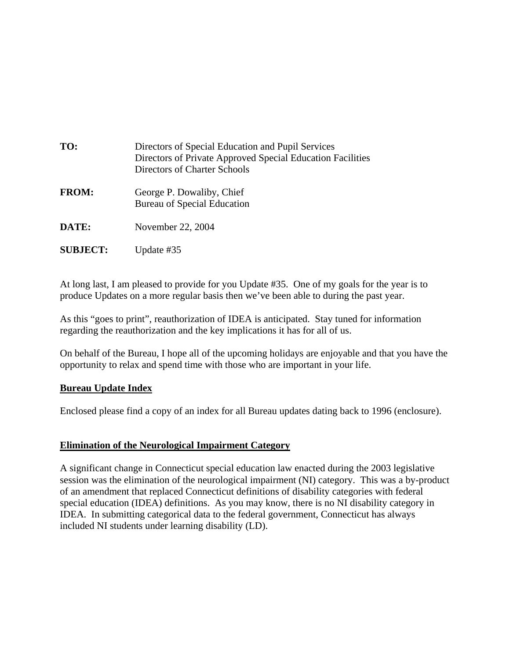| TO:             | Directors of Special Education and Pupil Services<br>Directors of Private Approved Special Education Facilities<br>Directors of Charter Schools |
|-----------------|-------------------------------------------------------------------------------------------------------------------------------------------------|
| <b>FROM:</b>    | George P. Dowaliby, Chief<br><b>Bureau of Special Education</b>                                                                                 |
| DATE:           | November 22, 2004                                                                                                                               |
| <b>SUBJECT:</b> | Update #35                                                                                                                                      |

At long last, I am pleased to provide for you Update #35. One of my goals for the year is to produce Updates on a more regular basis then we've been able to during the past year.

As this "goes to print", reauthorization of IDEA is anticipated. Stay tuned for information regarding the reauthorization and the key implications it has for all of us.

On behalf of the Bureau, I hope all of the upcoming holidays are enjoyable and that you have the opportunity to relax and spend time with those who are important in your life.

## **Bureau Update Index**

Enclosed please find a copy of an index for all Bureau updates dating back to 1996 (enclosure).

#### **Elimination of the Neurological Impairment Category**

A significant change in Connecticut special education law enacted during the 2003 legislative session was the elimination of the neurological impairment (NI) category. This was a by-product of an amendment that replaced Connecticut definitions of disability categories with federal special education (IDEA) definitions. As you may know, there is no NI disability category in IDEA. In submitting categorical data to the federal government, Connecticut has always included NI students under learning disability (LD).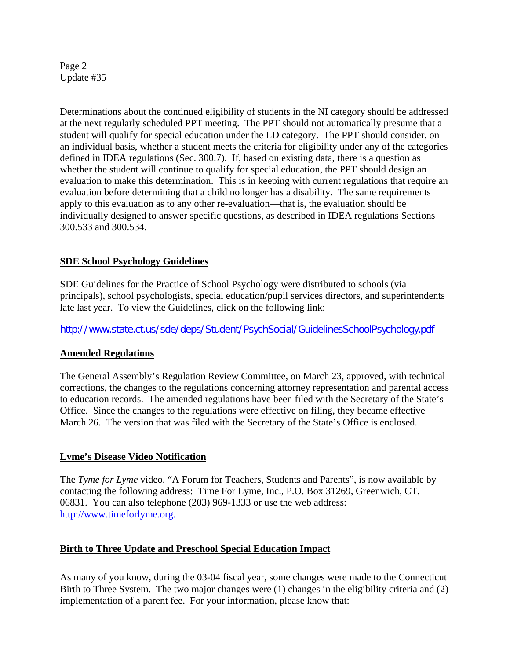Page 2 Update #35

Determinations about the continued eligibility of students in the NI category should be addressed at the next regularly scheduled PPT meeting. The PPT should not automatically presume that a student will qualify for special education under the LD category. The PPT should consider, on an individual basis, whether a student meets the criteria for eligibility under any of the categories defined in IDEA regulations (Sec. 300.7). If, based on existing data, there is a question as whether the student will continue to qualify for special education, the PPT should design an evaluation to make this determination. This is in keeping with current regulations that require an evaluation before determining that a child no longer has a disability. The same requirements apply to this evaluation as to any other re-evaluation—that is, the evaluation should be individually designed to answer specific questions, as described in IDEA regulations Sections 300.533 and 300.534.

## **SDE School Psychology Guidelines**

SDE Guidelines for the Practice of School Psychology were distributed to schools (via principals), school psychologists, special education/pupil services directors, and superintendents late last year. To view the Guidelines, click on the following link:

*<http://www.state.ct.us/sde/deps/Student/PsychSocial/GuidelinesSchoolPsychology.pdf>* 

## **Amended Regulations**

The General Assembly's Regulation Review Committee, on March 23, approved, with technical corrections, the changes to the regulations concerning attorney representation and parental access to education records. The amended regulations have been filed with the Secretary of the State's Office. Since the changes to the regulations were effective on filing, they became effective March 26. The version that was filed with the Secretary of the State's Office is enclosed.

## **Lyme's Disease Video Notification**

The *Tyme for Lyme* video, "A Forum for Teachers, Students and Parents", is now available by contacting the following address: Time For Lyme, Inc., P.O. Box 31269, Greenwich, CT, 06831. You can also telephone (203) 969-1333 or use the web address: [http://www.timeforlyme.org.](http://www.timeforlyme.org)

## **Birth to Three Update and Preschool Special Education Impact**

As many of you know, during the 03-04 fiscal year, some changes were made to the Connecticut Birth to Three System. The two major changes were (1) changes in the eligibility criteria and (2) implementation of a parent fee. For your information, please know that: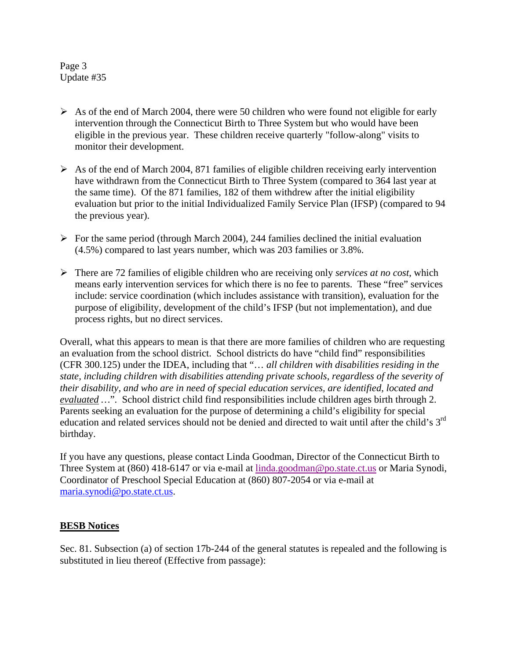Page 3 Update #35

- $\triangleright$  As of the end of March 2004, there were 50 children who were found not eligible for early intervention through the Connecticut Birth to Three System but who would have been eligible in the previous year. These children receive quarterly "follow-along" visits to monitor their development.
- $\triangleright$  As of the end of March 2004, 871 families of eligible children receiving early intervention have withdrawn from the Connecticut Birth to Three System (compared to 364 last year at the same time). Of the 871 families, 182 of them withdrew after the initial eligibility evaluation but prior to the initial Individualized Family Service Plan (IFSP) (compared to 94 the previous year).
- $\triangleright$  For the same period (through March 2004), 244 families declined the initial evaluation (4.5%) compared to last years number, which was 203 families or 3.8%.
- $\triangleright$  There are 72 families of eligible children who are receiving only *services at no cost*, which means early intervention services for which there is no fee to parents. These "free" services include: service coordination (which includes assistance with transition), evaluation for the purpose of eligibility, development of the child's IFSP (but not implementation), and due process rights, but no direct services.

Overall, what this appears to mean is that there are more families of children who are requesting an evaluation from the school district. School districts do have "child find" responsibilities (CFR 300.125) under the IDEA, including that "… *all children with disabilities residing in the state, including children with disabilities attending private schools, regardless of the severity of their disability, and who are in need of special education services, are identified, located and evaluated …*". School district child find responsibilities include children ages birth through 2. Parents seeking an evaluation for the purpose of determining a child's eligibility for special education and related services should not be denied and directed to wait until after the child's 3<sup>rd</sup> birthday.

If you have any questions, please contact Linda Goodman, Director of the Connecticut Birth to Three System at (860) 418-6147 or via e-mail at linda.goodman@po.state.ct.us or Maria Synodi, Coordinator of Preschool Special Education at (860) 807-2054 or via e-mail at maria.synodi@po.state.ct.us.

#### **BESB Notices**

Sec. 81. Subsection (a) of section 17b-244 of the general statutes is repealed and the following is substituted in lieu thereof (Effective from passage):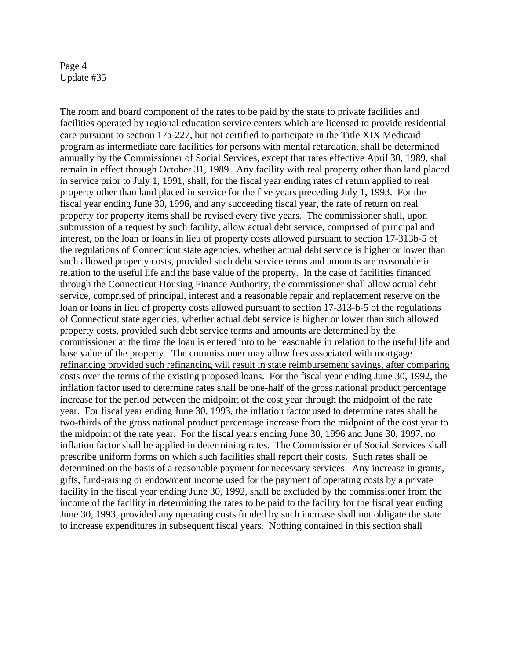#### Page 4 Update #35

The room and board component of the rates to be paid by the state to private facilities and facilities operated by regional education service centers which are licensed to provide residential care pursuant to section 17a-227, but not certified to participate in the Title XIX Medicaid program as intermediate care facilities for persons with mental retardation, shall be determined annually by the Commissioner of Social Services, except that rates effective April 30, 1989, shall remain in effect through October 31, 1989. Any facility with real property other than land placed in service prior to July 1, 1991, shall, for the fiscal year ending rates of return applied to real property other than land placed in service for the five years preceding July 1, 1993. For the fiscal year ending June 30, 1996, and any succeeding fiscal year, the rate of return on real property for property items shall be revised every five years. The commissioner shall, upon submission of a request by such facility, allow actual debt service, comprised of principal and interest, on the loan or loans in lieu of property costs allowed pursuant to section 17-313b-5 of the regulations of Connecticut state agencies, whether actual debt service is higher or lower than such allowed property costs, provided such debt service terms and amounts are reasonable in relation to the useful life and the base value of the property. In the case of facilities financed through the Connecticut Housing Finance Authority, the commissioner shall allow actual debt service, comprised of principal, interest and a reasonable repair and replacement reserve on the loan or loans in lieu of property costs allowed pursuant to section 17-313-b-5 of the regulations of Connecticut state agencies, whether actual debt service is higher or lower than such allowed property costs, provided such debt service terms and amounts are determined by the commissioner at the time the loan is entered into to be reasonable in relation to the useful life and base value of the property. The commissioner may allow fees associated with mortgage refinancing provided such refinancing will result in state reimbursement savings, after comparing costs over the terms of the existing proposed loans. For the fiscal year ending June 30, 1992, the inflation factor used to determine rates shall be one-half of the gross national product percentage increase for the period between the midpoint of the cost year through the midpoint of the rate year. For fiscal year ending June 30, 1993, the inflation factor used to determine rates shall be two-thirds of the gross national product percentage increase from the midpoint of the cost year to the midpoint of the rate year. For the fiscal years ending June 30, 1996 and June 30, 1997, no inflation factor shall be applied in determining rates. The Commissioner of Social Services shall prescribe uniform forms on which such facilities shall report their costs. Such rates shall be determined on the basis of a reasonable payment for necessary services. Any increase in grants, gifts, fund-raising or endowment income used for the payment of operating costs by a private facility in the fiscal year ending June 30, 1992, shall be excluded by the commissioner from the income of the facility in determining the rates to be paid to the facility for the fiscal year ending June 30, 1993, provided any operating costs funded by such increase shall not obligate the state to increase expenditures in subsequent fiscal years. Nothing contained in this section shall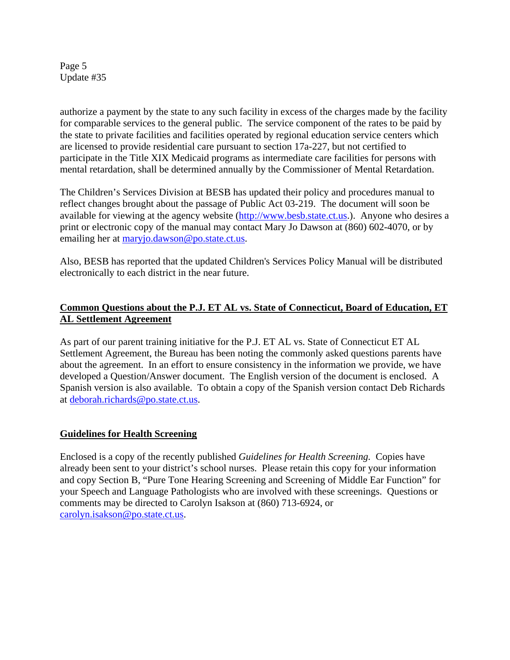Page 5 Update #35

authorize a payment by the state to any such facility in excess of the charges made by the facility for comparable services to the general public. The service component of the rates to be paid by the state to private facilities and facilities operated by regional education service centers which are licensed to provide residential care pursuant to section 17a-227, but not certified to participate in the Title XIX Medicaid programs as intermediate care facilities for persons with mental retardation, shall be determined annually by the Commissioner of Mental Retardation.

The Children's Services Division at BESB has updated their policy and procedures manual to reflect changes brought about the passage of Public Act 03-219. The document will soon be available for viewing at the agency website ([http://www.besb.state.ct](http://www.besb.state.ct.us).us.). Anyone who desires a print or electronic copy of the manual may contact Mary Jo Dawson at (860) 602-4070, or by emailing her at maryjo.dawson@po.state.ct.us.

Also, BESB has reported that the updated Children's Services Policy Manual will be distributed electronically to each district in the near future.

# **Common Questions about the P.J. ET AL vs. State of Connecticut, Board of Education, ET AL Settlement Agreement**

As part of our parent training initiative for the P.J. ET AL vs. State of Connecticut ET AL Settlement Agreement, the Bureau has been noting the commonly asked questions parents have about the agreement. In an effort to ensure consistency in the information we provide, we have developed a Question/Answer document. The English version of the document is enclosed. A Spanish version is also available. To obtain a copy of the Spanish version contact Deb Richards at deborah.richards@po.state.ct.us.

## **Guidelines for Health Screening**

Enclosed is a copy of the recently published *Guidelines for Health Screening.* Copies have already been sent to your district's school nurses. Please retain this copy for your information and copy Section B, "Pure Tone Hearing Screening and Screening of Middle Ear Function" for your Speech and Language Pathologists who are involved with these screenings. Questions or comments may be directed to Carolyn Isakson at (860) 713-6924, or carolyn.isakson@po.state.ct.us.